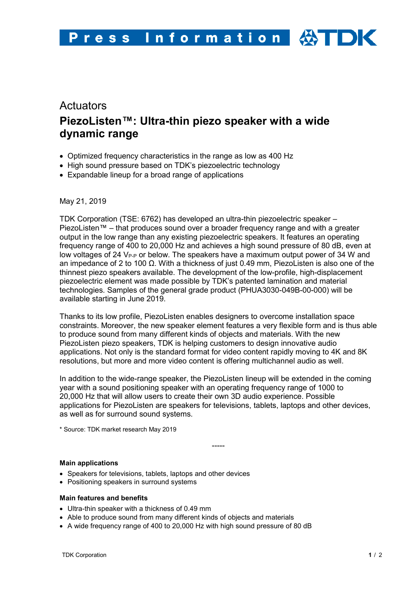# **Actuators PiezoListen™: Ultra-thin piezo speaker with a wide dynamic range**

- Optimized frequency characteristics in the range as low as 400 Hz
- High sound pressure based on TDK's piezoelectric technology
- Expandable lineup for a broad range of applications

May 21, 2019

TDK Corporation (TSE: 6762) has developed an ultra-thin piezoelectric speaker – PiezoListen™ – that produces sound over a broader frequency range and with a greater output in the low range than any existing piezoelectric speakers. It features an operating frequency range of 400 to 20,000 Hz and achieves a high sound pressure of 80 dB, even at low voltages of 24  $V_{\text{P-P}}$  or below. The speakers have a maximum output power of 34 W and an impedance of 2 to 100  $\Omega$ . With a thickness of just 0.49 mm, PiezoListen is also one of the thinnest piezo speakers available. The development of the low-profile, high-displacement piezoelectric element was made possible by TDK's patented lamination and material technologies. Samples of the general grade product (PHUA3030-049B-00-000) will be available starting in June 2019.

Thanks to its low profile, PiezoListen enables designers to overcome installation space constraints. Moreover, the new speaker element features a very flexible form and is thus able to produce sound from many different kinds of objects and materials. With the new PiezoListen piezo speakers, TDK is helping customers to design innovative audio applications. Not only is the standard format for video content rapidly moving to 4K and 8K resolutions, but more and more video content is offering multichannel audio as well.

In addition to the wide-range speaker, the PiezoListen lineup will be extended in the coming year with a sound positioning speaker with an operating frequency range of 1000 to 20,000 Hz that will allow users to create their own 3D audio experience. Possible applications for PiezoListen are speakers for televisions, tablets, laptops and other devices, as well as for surround sound systems.

\* Source: TDK market research May 2019

-----

# **Main applications**

- Speakers for televisions, tablets, laptops and other devices
- Positioning speakers in surround systems

# **Main features and benefits**

- Ultra-thin speaker with a thickness of 0.49 mm
- Able to produce sound from many different kinds of objects and materials
- A wide frequency range of 400 to 20,000 Hz with high sound pressure of 80 dB